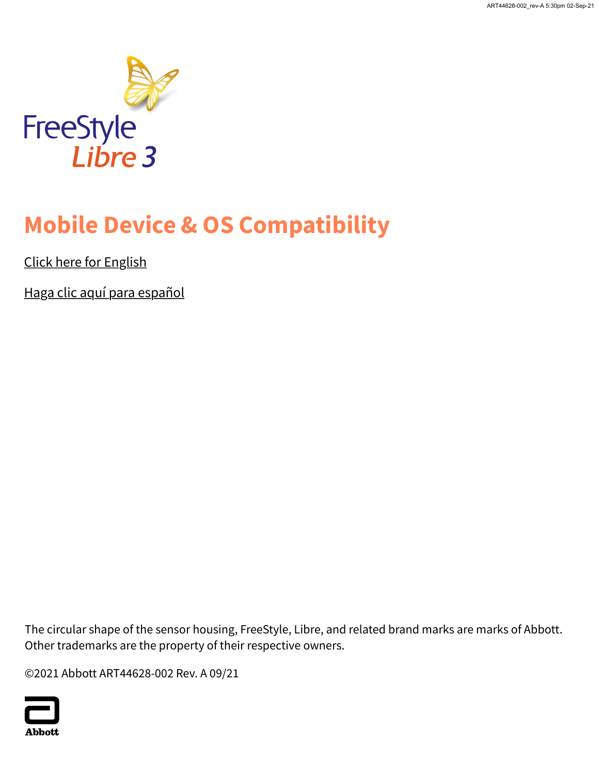

## **Mobile Device & OS Compatibility**

Click here for English

Haga clic aquí para español

The circular shape of the sensor housing, FreeStyle, Libre, and related brand marks are marks of Abbott. Other trademarks are the property of their respective owners.

©2021 Abbott ART44628-002 Rev. A 09/21

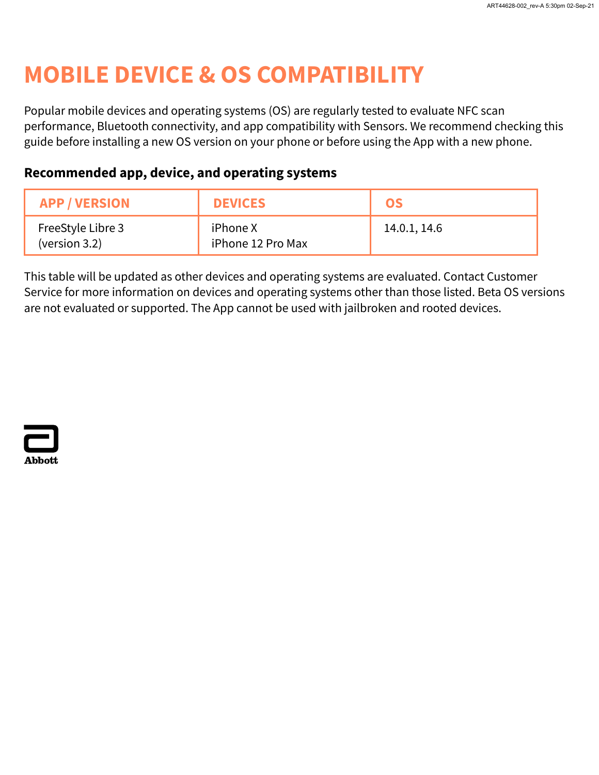## **MOBILE DEVICE & OS COMPATIBILITY**

Popular mobile devices and operating systems (OS) are regularly tested to evaluate NFC scan performance, Bluetooth connectivity, and app compatibility with Sensors. We recommend checking this guide before installing a new OS version on your phone or before using the App with a new phone.

#### **Recommended app, device, and operating systems**

| <b>APP / VERSION</b>               | <b>DEVICES</b>                | OS           |
|------------------------------------|-------------------------------|--------------|
| FreeStyle Libre 3<br>(version 3.2) | iPhone X<br>iPhone 12 Pro Max | 14.0.1, 14.6 |

This table will be updated as other devices and operating systems are evaluated. Contact Customer Service for more information on devices and operating systems other than those listed. Beta OS versions are not evaluated or supported. The App cannot be used with jailbroken and rooted devices.